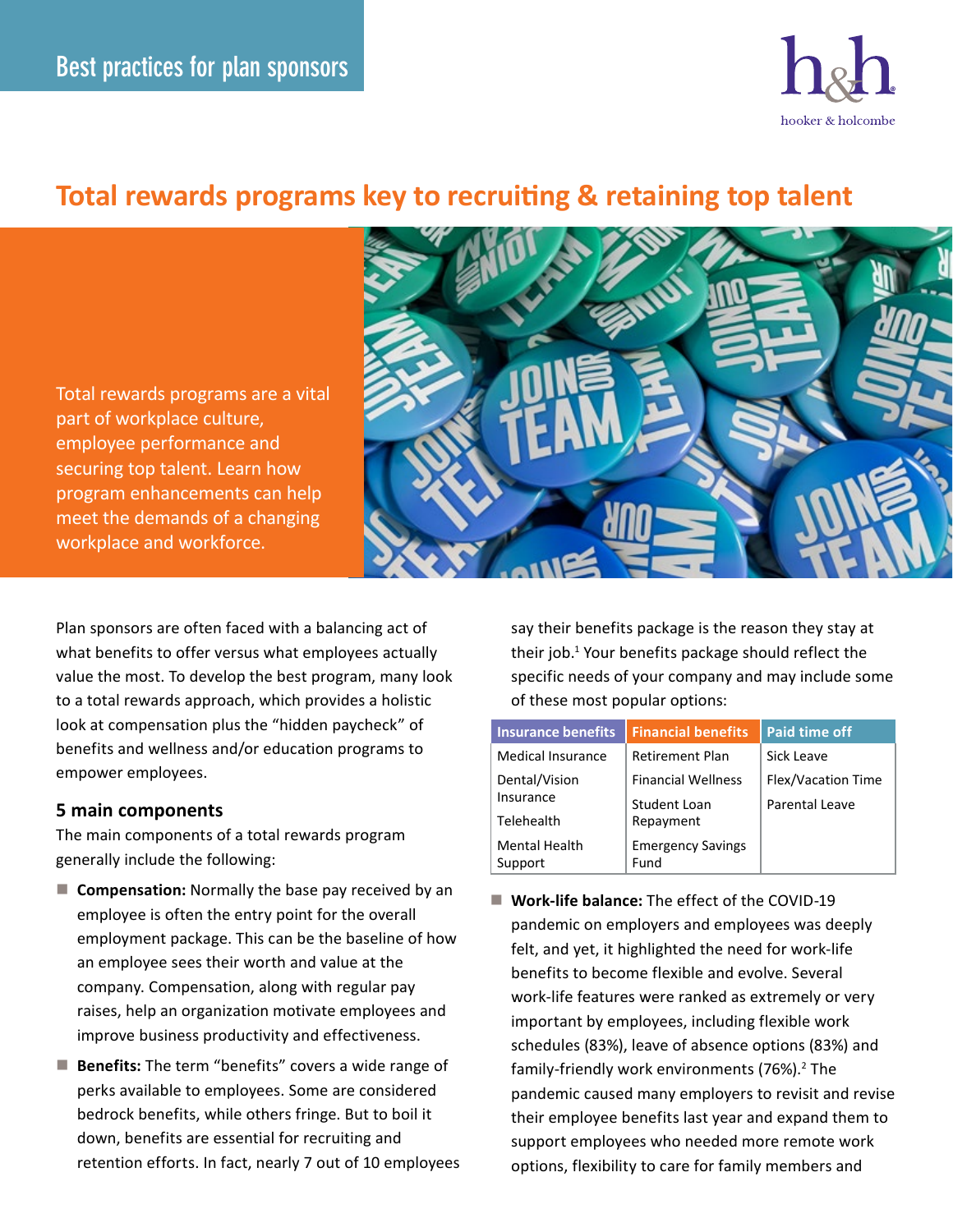

# **Total rewards programs key to recruiting & retaining top talent**

Total rewards programs are a vital part of workplace culture, employee performance and securing top talent. Learn how program enhancements can help meet the demands of a changing workplace and workforce.



Plan sponsors are often faced with a balancing act of what benefits to offer versus what employees actually value the most. To develop the best program, many look to a total rewards approach, which provides a holistic look at compensation plus the "hidden paycheck" of benefits and wellness and/or education programs to empower employees.

### **5 main components**

The main components of a total rewards program generally include the following:

- **Compensation:** Normally the base pay received by an employee is often the entry point for the overall employment package. This can be the baseline of how an employee sees their worth and value at the company. Compensation, along with regular pay raises, help an organization motivate employees and improve business productivity and effectiveness.
- **Benefits:** The term "benefits" covers a wide range of perks available to employees. Some are considered bedrock benefits, while others fringe. But to boil it down, benefits are essential for recruiting and retention efforts. In fact, nearly 7 out of 10 employees

say their benefits package is the reason they stay at their job.<sup>1</sup> Your benefits package should reflect the specific needs of your company and may include some of these most popular options:

| <b>Insurance benefits</b>       | <b>Financial benefits</b>                 | <b>Paid time off</b>                        |
|---------------------------------|-------------------------------------------|---------------------------------------------|
| <b>Medical Insurance</b>        | <b>Retirement Plan</b>                    | Sick Leave                                  |
| Dental/Vision<br>Insurance      | <b>Financial Wellness</b><br>Student Loan | <b>Flex/Vacation Time</b><br>Parental Leave |
| Telehealth                      | Repayment                                 |                                             |
| <b>Mental Health</b><br>Support | <b>Emergency Savings</b><br>Fund          |                                             |

 **Work-life balance:** The effect of the COVID-19 pandemic on employers and employees was deeply felt, and yet, it highlighted the need for work-life benefits to become flexible and evolve. Several work-life features were ranked as extremely or very important by employees, including flexible work schedules (83%), leave of absence options (83%) and family-friendly work environments (76%).<sup>2</sup> The pandemic caused many employers to revisit and revise their employee benefits last year and expand them to support employees who needed more remote work options, flexibility to care for family members and